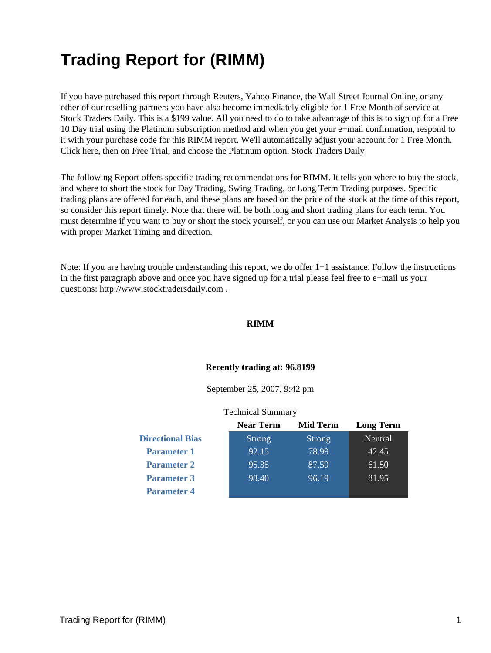# **Trading Report for (RIMM)**

If you have purchased this report through Reuters, Yahoo Finance, the Wall Street Journal Online, or any other of our reselling partners you have also become immediately eligible for 1 Free Month of service at Stock Traders Daily. This is a \$199 value. All you need to do to take advantage of this is to sign up for a Free 10 Day trial using the Platinum subscription method and when you get your e−mail confirmation, respond to it with your purchase code for this RIMM report. We'll automatically adjust your account for 1 Free Month. Click here, then on Free Trial, and choose the Platinum option[. Stock Traders Daily](http://www.stocktradersdaily.com/)

The following Report offers specific trading recommendations for RIMM. It tells you where to buy the stock, and where to short the stock for Day Trading, Swing Trading, or Long Term Trading purposes. Specific trading plans are offered for each, and these plans are based on the price of the stock at the time of this report, so consider this report timely. Note that there will be both long and short trading plans for each term. You must determine if you want to buy or short the stock yourself, or you can use our Market Analysis to help you with proper Market Timing and direction.

Note: If you are having trouble understanding this report, we do offer 1−1 assistance. Follow the instructions in the first paragraph above and once you have signed up for a trial please feel free to e−mail us your questions: http://www.stocktradersdaily.com .

#### **RIMM**

#### **Recently trading at: 96.8199**

September 25, 2007, 9:42 pm

#### Technical Summary

|                         | <b>Near Term</b> | <b>Mid Term</b> | <b>Long Term</b> |
|-------------------------|------------------|-----------------|------------------|
| <b>Directional Bias</b> | <b>Strong</b>    | <b>Strong</b>   | Neutral          |
| <b>Parameter 1</b>      | 92.15            | 78.99           | 42.45            |
| <b>Parameter 2</b>      | 95.35            | 87.59           | 61.50            |
| <b>Parameter 3</b>      | 98.40            | 96.19           | 81.95            |
| <b>Parameter 4</b>      |                  |                 |                  |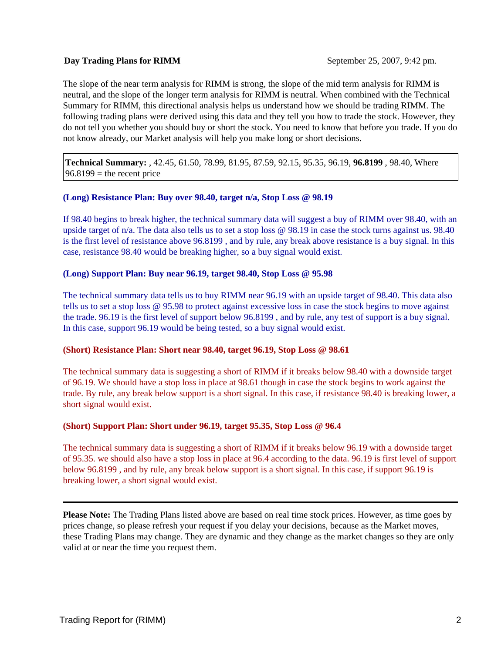## **Day Trading Plans for RIMM** September 25, 2007, 9:42 pm.

The slope of the near term analysis for RIMM is strong, the slope of the mid term analysis for RIMM is neutral, and the slope of the longer term analysis for RIMM is neutral. When combined with the Technical Summary for RIMM, this directional analysis helps us understand how we should be trading RIMM. The following trading plans were derived using this data and they tell you how to trade the stock. However, they do not tell you whether you should buy or short the stock. You need to know that before you trade. If you do not know already, our Market analysis will help you make long or short decisions.

**Technical Summary:** , 42.45, 61.50, 78.99, 81.95, 87.59, 92.15, 95.35, 96.19, **96.8199** , 98.40, Where  $96.8199$  = the recent price

## **(Long) Resistance Plan: Buy over 98.40, target n/a, Stop Loss @ 98.19**

If 98.40 begins to break higher, the technical summary data will suggest a buy of RIMM over 98.40, with an upside target of n/a. The data also tells us to set a stop loss @ 98.19 in case the stock turns against us. 98.40 is the first level of resistance above 96.8199 , and by rule, any break above resistance is a buy signal. In this case, resistance 98.40 would be breaking higher, so a buy signal would exist.

## **(Long) Support Plan: Buy near 96.19, target 98.40, Stop Loss @ 95.98**

The technical summary data tells us to buy RIMM near 96.19 with an upside target of 98.40. This data also tells us to set a stop loss @ 95.98 to protect against excessive loss in case the stock begins to move against the trade. 96.19 is the first level of support below 96.8199 , and by rule, any test of support is a buy signal. In this case, support 96.19 would be being tested, so a buy signal would exist.

## **(Short) Resistance Plan: Short near 98.40, target 96.19, Stop Loss @ 98.61**

The technical summary data is suggesting a short of RIMM if it breaks below 98.40 with a downside target of 96.19. We should have a stop loss in place at 98.61 though in case the stock begins to work against the trade. By rule, any break below support is a short signal. In this case, if resistance 98.40 is breaking lower, a short signal would exist.

## **(Short) Support Plan: Short under 96.19, target 95.35, Stop Loss @ 96.4**

The technical summary data is suggesting a short of RIMM if it breaks below 96.19 with a downside target of 95.35. we should also have a stop loss in place at 96.4 according to the data. 96.19 is first level of support below 96.8199 , and by rule, any break below support is a short signal. In this case, if support 96.19 is breaking lower, a short signal would exist.

**Please Note:** The Trading Plans listed above are based on real time stock prices. However, as time goes by prices change, so please refresh your request if you delay your decisions, because as the Market moves, these Trading Plans may change. They are dynamic and they change as the market changes so they are only valid at or near the time you request them.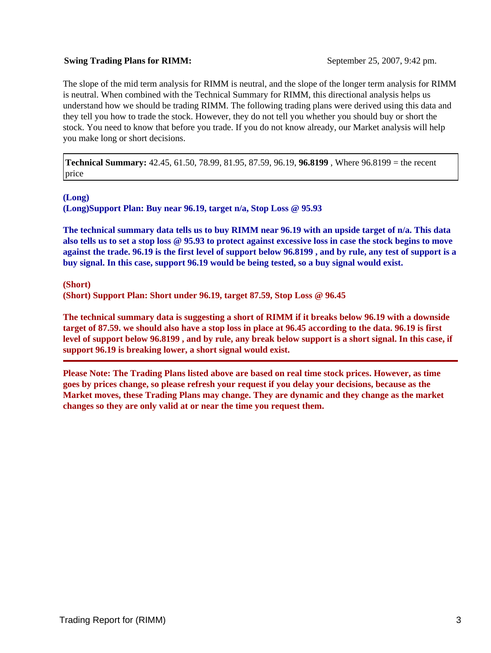## **Swing Trading Plans for RIMM:** September 25, 2007, 9:42 pm.

The slope of the mid term analysis for RIMM is neutral, and the slope of the longer term analysis for RIMM is neutral. When combined with the Technical Summary for RIMM, this directional analysis helps us understand how we should be trading RIMM. The following trading plans were derived using this data and they tell you how to trade the stock. However, they do not tell you whether you should buy or short the stock. You need to know that before you trade. If you do not know already, our Market analysis will help you make long or short decisions.

**Technical Summary:** 42.45, 61.50, 78.99, 81.95, 87.59, 96.19, **96.8199** , Where 96.8199 = the recent price

**(Long)**

**(Long)Support Plan: Buy near 96.19, target n/a, Stop Loss @ 95.93**

**The technical summary data tells us to buy RIMM near 96.19 with an upside target of n/a. This data also tells us to set a stop loss @ 95.93 to protect against excessive loss in case the stock begins to move against the trade. 96.19 is the first level of support below 96.8199 , and by rule, any test of support is a buy signal. In this case, support 96.19 would be being tested, so a buy signal would exist.**

**(Short)**

**(Short) Support Plan: Short under 96.19, target 87.59, Stop Loss @ 96.45**

**The technical summary data is suggesting a short of RIMM if it breaks below 96.19 with a downside target of 87.59. we should also have a stop loss in place at 96.45 according to the data. 96.19 is first level of support below 96.8199 , and by rule, any break below support is a short signal. In this case, if support 96.19 is breaking lower, a short signal would exist.**

**Please Note: The Trading Plans listed above are based on real time stock prices. However, as time goes by prices change, so please refresh your request if you delay your decisions, because as the Market moves, these Trading Plans may change. They are dynamic and they change as the market changes so they are only valid at or near the time you request them.**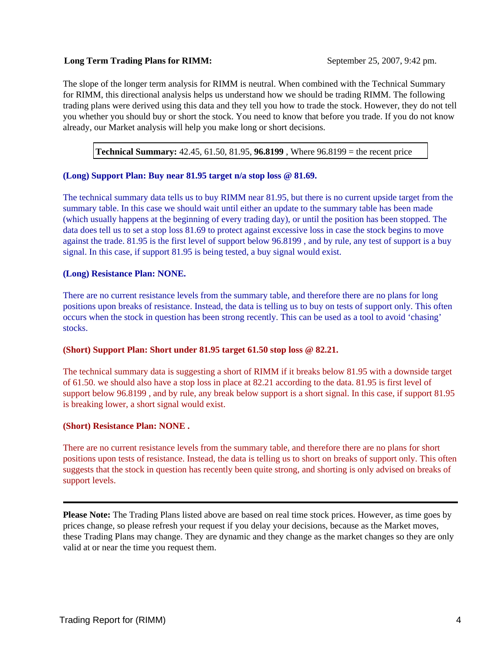## **Long Term Trading Plans for RIMM:** September 25, 2007, 9:42 pm.

The slope of the longer term analysis for RIMM is neutral. When combined with the Technical Summary for RIMM, this directional analysis helps us understand how we should be trading RIMM. The following trading plans were derived using this data and they tell you how to trade the stock. However, they do not tell you whether you should buy or short the stock. You need to know that before you trade. If you do not know already, our Market analysis will help you make long or short decisions.

**Technical Summary:** 42.45, 61.50, 81.95, **96.8199** , Where 96.8199 = the recent price

## **(Long) Support Plan: Buy near 81.95 target n/a stop loss @ 81.69.**

The technical summary data tells us to buy RIMM near 81.95, but there is no current upside target from the summary table. In this case we should wait until either an update to the summary table has been made (which usually happens at the beginning of every trading day), or until the position has been stopped. The data does tell us to set a stop loss 81.69 to protect against excessive loss in case the stock begins to move against the trade. 81.95 is the first level of support below 96.8199 , and by rule, any test of support is a buy signal. In this case, if support 81.95 is being tested, a buy signal would exist.

## **(Long) Resistance Plan: NONE.**

There are no current resistance levels from the summary table, and therefore there are no plans for long positions upon breaks of resistance. Instead, the data is telling us to buy on tests of support only. This often occurs when the stock in question has been strong recently. This can be used as a tool to avoid 'chasing' stocks.

## **(Short) Support Plan: Short under 81.95 target 61.50 stop loss @ 82.21.**

The technical summary data is suggesting a short of RIMM if it breaks below 81.95 with a downside target of 61.50. we should also have a stop loss in place at 82.21 according to the data. 81.95 is first level of support below 96.8199 , and by rule, any break below support is a short signal. In this case, if support 81.95 is breaking lower, a short signal would exist.

## **(Short) Resistance Plan: NONE .**

There are no current resistance levels from the summary table, and therefore there are no plans for short positions upon tests of resistance. Instead, the data is telling us to short on breaks of support only. This often suggests that the stock in question has recently been quite strong, and shorting is only advised on breaks of support levels.

**Please Note:** The Trading Plans listed above are based on real time stock prices. However, as time goes by prices change, so please refresh your request if you delay your decisions, because as the Market moves, these Trading Plans may change. They are dynamic and they change as the market changes so they are only valid at or near the time you request them.